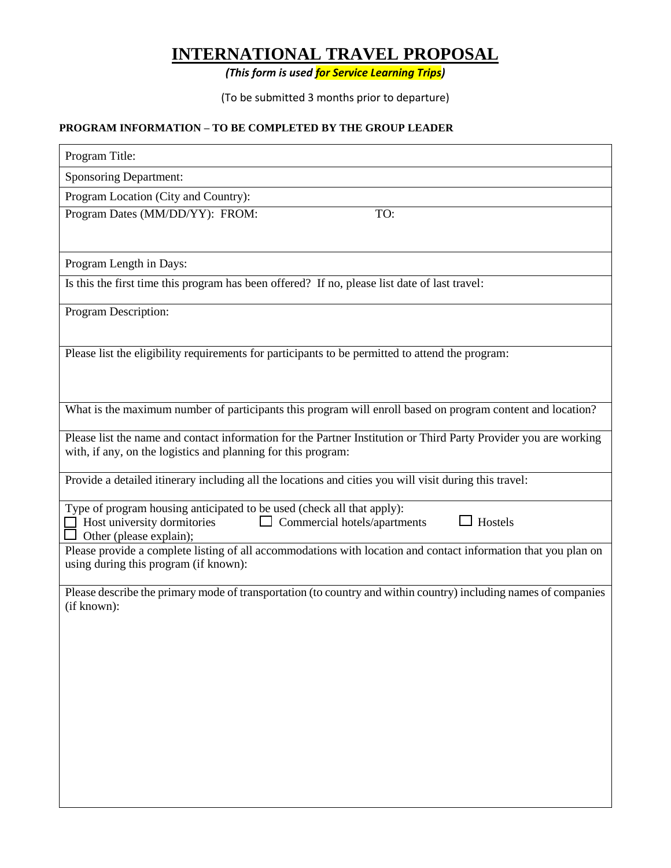# **INTERNATIONAL TRAVEL PROPOSAL**

*(This form is used for Service Learning Trips)*

(To be submitted 3 months prior to departure)

## **PROGRAM INFORMATION – TO BE COMPLETED BY THE GROUP LEADER**

| Program Title:                                                                                                                                                                    |  |  |
|-----------------------------------------------------------------------------------------------------------------------------------------------------------------------------------|--|--|
| <b>Sponsoring Department:</b>                                                                                                                                                     |  |  |
| Program Location (City and Country):                                                                                                                                              |  |  |
| Program Dates (MM/DD/YY): FROM:<br>TO:                                                                                                                                            |  |  |
| Program Length in Days:                                                                                                                                                           |  |  |
| Is this the first time this program has been offered? If no, please list date of last travel:                                                                                     |  |  |
| Program Description:                                                                                                                                                              |  |  |
| Please list the eligibility requirements for participants to be permitted to attend the program:                                                                                  |  |  |
| What is the maximum number of participants this program will enroll based on program content and location?                                                                        |  |  |
| Please list the name and contact information for the Partner Institution or Third Party Provider you are working<br>with, if any, on the logistics and planning for this program: |  |  |
| Provide a detailed itinerary including all the locations and cities you will visit during this travel:                                                                            |  |  |
| Type of program housing anticipated to be used (check all that apply):<br>Hostels<br>Host university dormitories<br>Commercial hotels/apartments<br>Other (please explain);       |  |  |
| Please provide a complete listing of all accommodations with location and contact information that you plan on<br>using during this program (if known):                           |  |  |
| Please describe the primary mode of transportation (to country and within country) including names of companies<br>(if known):                                                    |  |  |
|                                                                                                                                                                                   |  |  |
|                                                                                                                                                                                   |  |  |
|                                                                                                                                                                                   |  |  |
|                                                                                                                                                                                   |  |  |
|                                                                                                                                                                                   |  |  |